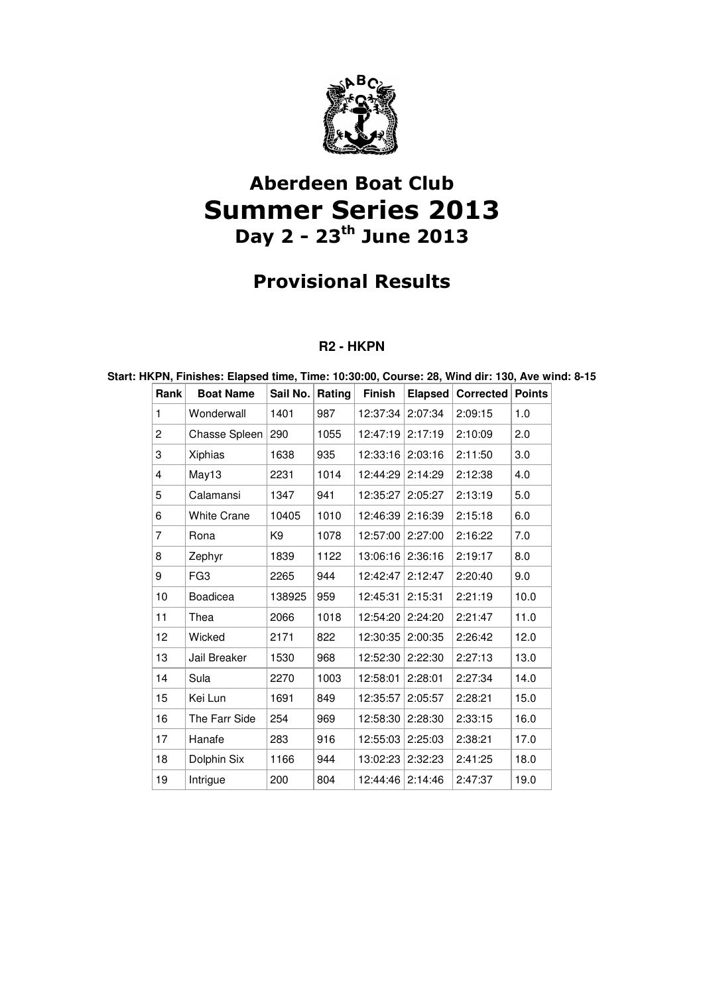

## Aberdeen Boat Club Summer Series 2013 Day  $2 - 23$ <sup>th</sup> June 2013

## Provisional Results

### **R2 - HKPN**

### **Rank Boat Name** Sail No. Rating Finish Elapsed Corrected Points 1 Wonderwall 1401 987 12:37:34 2:07:34 2:09:15 1.0 2 | Chasse Spleen 290 | 1055 | 12:47:19 | 2:17:19 | 2:10:09 | 2.0 3 Xiphias 1638 935 12:33:16 2:03:16 2:11:50 3.0 4 May13 2231 1014 12:44:29 2:14:29 2:12:38 4.0 5 Calamansi 1347 941 12:35:27 2:05:27 2:13:19 5.0 6 White Crane 10405 1010 12:46:39 2:16:39 2:15:18 6.0 7 Rona K9 1078 12:57:00 2:27:00 2:16:22 7.0 8 | Zephyr | 1839 | 1122 | 13:06:16 | 2:36:16 | 2:19:17 | 8.0 9 | FG3 | 2265 | 944 | 12:42:47 | 2:12:47 | 2:20:40 | 9.0 10 Boadicea 138925 959 12:45:31 2:15:31 2:21:19 10.0 11 Thea 2066 1018 12:54:20 2:24:20 2:21:47 11.0 12 Wicked 2171 822 12:30:35 2:00:35 2:26:42 12.0 13 Jail Breaker 1530 968 12:52:30 2:22:30 2:27:13 13.0 14 Sula 2270 1003 12:58:01 2:28:01 2:27:34 14.0 15 | Kei Lun | 1691 | 1849 | 12:35:57 | 2:05:57 | 2:28:21 | 15.0 16 The Farr Side 254 969 12:58:30 2:28:30 2:33:15 16.0 17 Hanafe 283 916 12:55:03 2:25:03 2:38:21 17.0 18 Dolphin Six 1166 944 13:02:23 2:32:23 2:41:25 18.0 19 Intrigue 200 804 12:44:46 2:14:46 2:47:37 19.0

### **Start: HKPN, Finishes: Elapsed time, Time: 10:30:00, Course: 28, Wind dir: 130, Ave wind: 8-15**